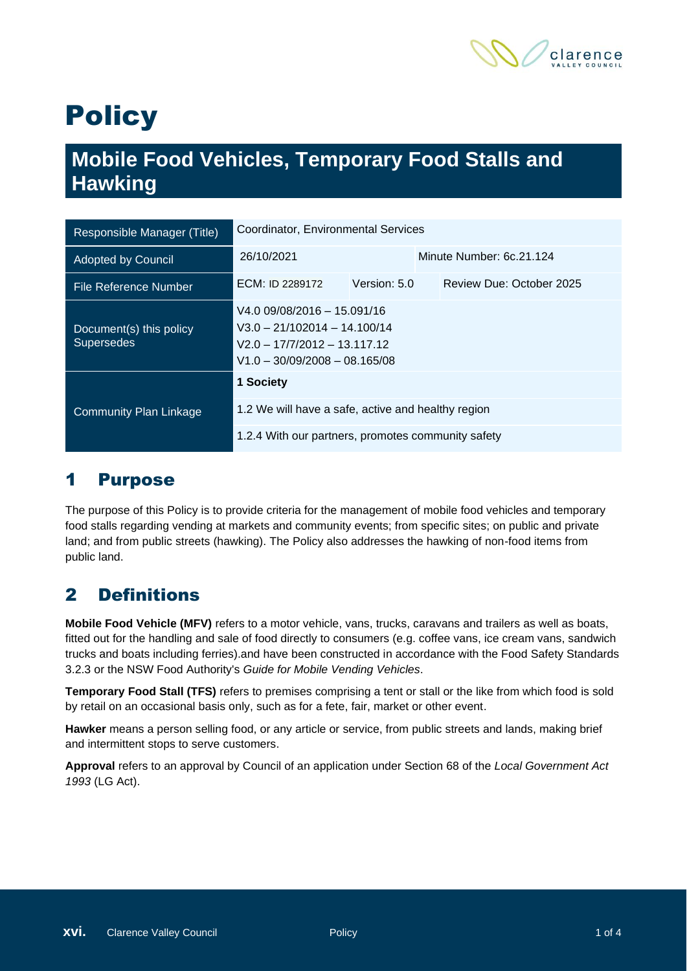

# **Policy**

## **Mobile Food Vehicles, Temporary Food Stalls and Hawking**

| Responsible Manager (Title)                  | Coordinator, Environmental Services                                                                                                |              |                          |                          |
|----------------------------------------------|------------------------------------------------------------------------------------------------------------------------------------|--------------|--------------------------|--------------------------|
| <b>Adopted by Council</b>                    | 26/10/2021                                                                                                                         |              | Minute Number: 6c.21.124 |                          |
| File Reference Number                        | ECM: ID 2289172                                                                                                                    | Version: 5.0 |                          | Review Due: October 2025 |
| Document(s) this policy<br><b>Supersedes</b> | V4.0 09/08/2016 - 15.091/16<br>$V3.0 - 21/102014 - 14.100/14$<br>$V2.0 - 17/7/2012 - 13.117.12$<br>$V1.0 - 30/09/2008 - 08.165/08$ |              |                          |                          |
| Community Plan Linkage                       | 1 Society                                                                                                                          |              |                          |                          |
|                                              | 1.2 We will have a safe, active and healthy region                                                                                 |              |                          |                          |
|                                              | 1.2.4 With our partners, promotes community safety                                                                                 |              |                          |                          |

## 1 Purpose

The purpose of this Policy is to provide criteria for the management of mobile food vehicles and temporary food stalls regarding vending at markets and community events; from specific sites; on public and private land; and from public streets (hawking). The Policy also addresses the hawking of non-food items from public land.

## 2 Definitions

**Mobile Food Vehicle (MFV)** refers to a motor vehicle, vans, trucks, caravans and trailers as well as boats, fitted out for the handling and sale of food directly to consumers (e.g. coffee vans, ice cream vans, sandwich trucks and boats including ferries).and have been constructed in accordance with the Food Safety Standards 3.2.3 or the NSW Food Authority's *Guide for Mobile Vending Vehicles*.

**Temporary Food Stall (TFS)** refers to premises comprising a tent or stall or the like from which food is sold by retail on an occasional basis only, such as for a fete, fair, market or other event.

**Hawker** means a person selling food, or any article or service, from public streets and lands, making brief and intermittent stops to serve customers.

**Approval** refers to an approval by Council of an application under Section 68 of the *Local Government Act 1993* (LG Act).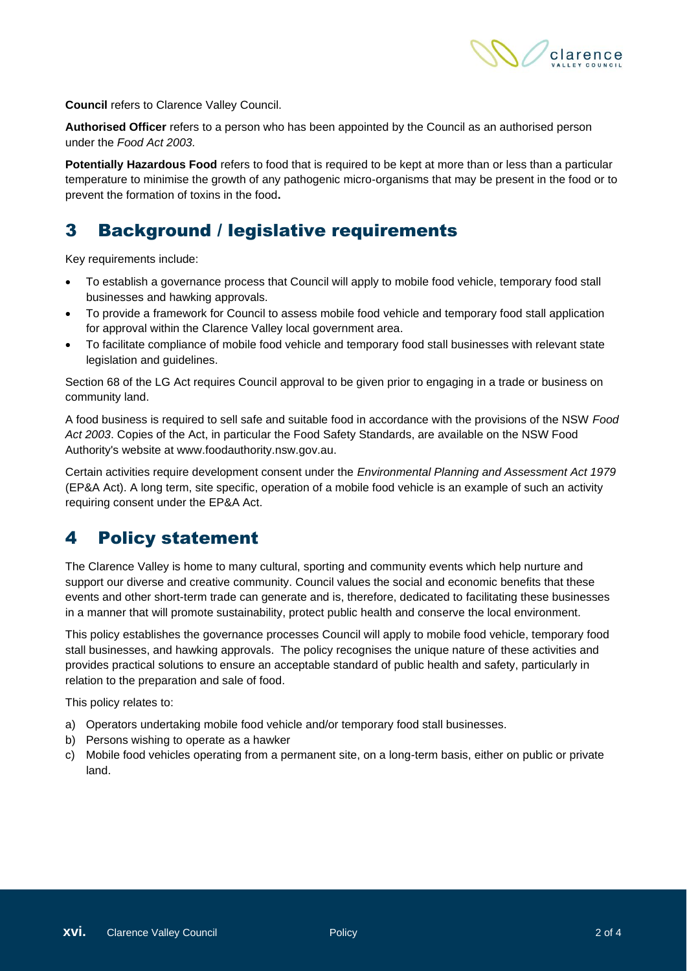

**Council** refers to Clarence Valley Council.

**Authorised Officer** refers to a person who has been appointed by the Council as an authorised person under the *Food Act 2003.*

**Potentially Hazardous Food** refers to food that is required to be kept at more than or less than a particular temperature to minimise the growth of any pathogenic micro-organisms that may be present in the food or to prevent the formation of toxins in the food**.**

## 3 Background / legislative requirements

Key requirements include:

- To establish a governance process that Council will apply to mobile food vehicle, temporary food stall businesses and hawking approvals.
- To provide a framework for Council to assess mobile food vehicle and temporary food stall application for approval within the Clarence Valley local government area.
- To facilitate compliance of mobile food vehicle and temporary food stall businesses with relevant state legislation and guidelines.

Section 68 of the LG Act requires Council approval to be given prior to engaging in a trade or business on community land.

A food business is required to sell safe and suitable food in accordance with the provisions of the NSW *Food Act 2003*. Copies of the Act, in particular the Food Safety Standards, are available on the NSW Food Authority's website at www.foodauthority.nsw.gov.au.

Certain activities require development consent under the *Environmental Planning and Assessment Act 1979* (EP&A Act). A long term, site specific, operation of a mobile food vehicle is an example of such an activity requiring consent under the EP&A Act.

### 4 Policy statement

The Clarence Valley is home to many cultural, sporting and community events which help nurture and support our diverse and creative community. Council values the social and economic benefits that these events and other short-term trade can generate and is, therefore, dedicated to facilitating these businesses in a manner that will promote sustainability, protect public health and conserve the local environment.

This policy establishes the governance processes Council will apply to mobile food vehicle, temporary food stall businesses, and hawking approvals. The policy recognises the unique nature of these activities and provides practical solutions to ensure an acceptable standard of public health and safety, particularly in relation to the preparation and sale of food.

This policy relates to:

- a) Operators undertaking mobile food vehicle and/or temporary food stall businesses.
- b) Persons wishing to operate as a hawker
- c) Mobile food vehicles operating from a permanent site, on a long-term basis, either on public or private land.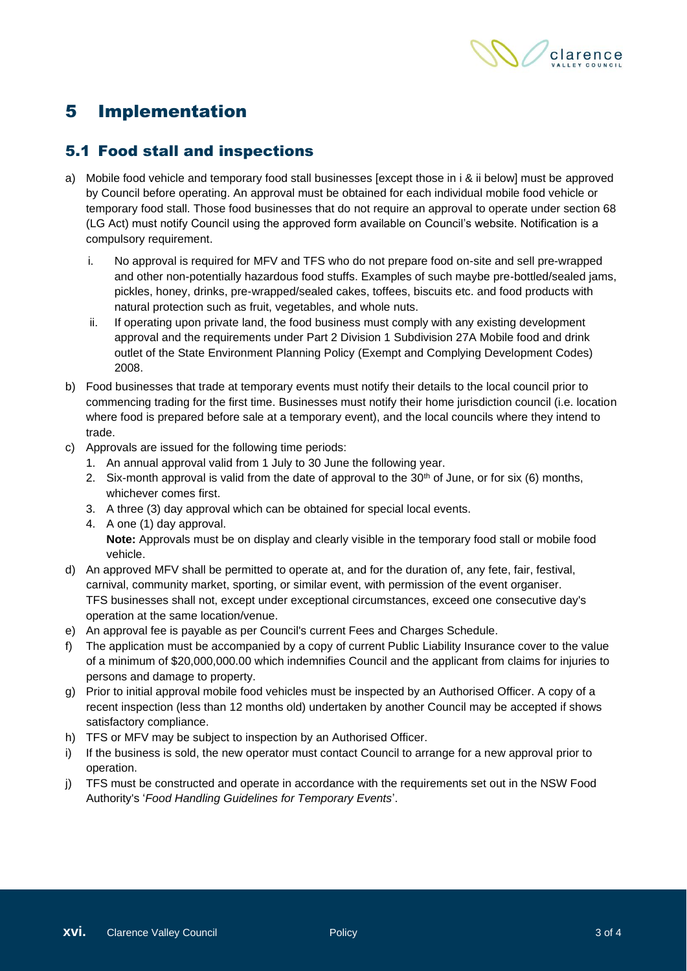

## 5 Implementation

#### 5.1 Food stall and inspections

- a) Mobile food vehicle and temporary food stall businesses [except those in i & ii below] must be approved by Council before operating. An approval must be obtained for each individual mobile food vehicle or temporary food stall. Those food businesses that do not require an approval to operate under section 68 (LG Act) must notify Council using the approved form available on Council's website. Notification is a compulsory requirement.
	- i. No approval is required for MFV and TFS who do not prepare food on-site and sell pre-wrapped and other non-potentially hazardous food stuffs. Examples of such maybe pre-bottled/sealed jams, pickles, honey, drinks, pre-wrapped/sealed cakes, toffees, biscuits etc. and food products with natural protection such as fruit, vegetables, and whole nuts.
	- ii. If operating upon private land, the food business must comply with any existing development approval and the requirements under Part 2 Division 1 Subdivision 27A Mobile food and drink outlet of the State Environment Planning Policy (Exempt and Complying Development Codes) 2008.
- b) Food businesses that trade at temporary events must notify their details to the local council prior to commencing trading for the first time. Businesses must notify their home jurisdiction council (i.e. location where food is prepared before sale at a temporary event), and the local councils where they intend to trade.
- c) Approvals are issued for the following time periods:
	- 1. An annual approval valid from 1 July to 30 June the following year.
	- 2. Six-month approval is valid from the date of approval to the  $30<sup>th</sup>$  of June, or for six (6) months, whichever comes first.
	- 3. A three (3) day approval which can be obtained for special local events.
	- 4. A one (1) day approval. **Note:** Approvals must be on display and clearly visible in the temporary food stall or mobile food vehicle.
- d) An approved MFV shall be permitted to operate at, and for the duration of, any fete, fair, festival, carnival, community market, sporting, or similar event, with permission of the event organiser. TFS businesses shall not, except under exceptional circumstances, exceed one consecutive day's operation at the same location/venue.
- e) An approval fee is payable as per Council's current Fees and Charges Schedule.
- f) The application must be accompanied by a copy of current Public Liability Insurance cover to the value of a minimum of \$20,000,000.00 which indemnifies Council and the applicant from claims for injuries to persons and damage to property.
- g) Prior to initial approval mobile food vehicles must be inspected by an Authorised Officer. A copy of a recent inspection (less than 12 months old) undertaken by another Council may be accepted if shows satisfactory compliance.
- h) TFS or MFV may be subject to inspection by an Authorised Officer.
- i) If the business is sold, the new operator must contact Council to arrange for a new approval prior to operation.
- j) TFS must be constructed and operate in accordance with the requirements set out in the NSW Food Authority's '*Food Handling Guidelines for Temporary Events*'.